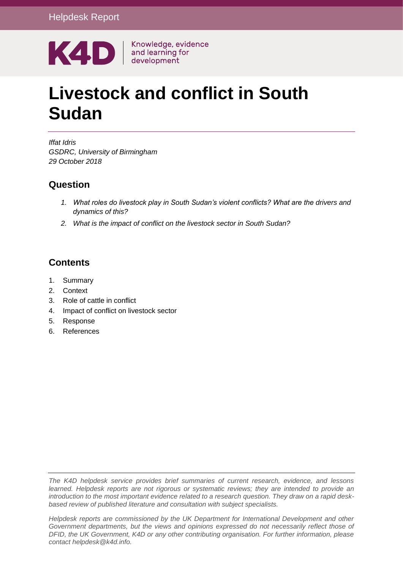

# **Livestock and conflict in South Sudan**

*Iffat Idris GSDRC, University of Birmingham 29 October 2018*

## **Question**

- 1. What roles do livestock play in South Sudan's violent conflicts? What are the drivers and *dynamics of this?*
- *2. What is the impact of conflict on the livestock sector in South Sudan?*

# **Contents**

- 1. [Summary](#page-1-0)
- 2. [Context](#page-3-0)
- 3. [Role of cattle in conflict](#page-5-0)
- 4. [Impact of conflict on livestock sector](#page-10-0)
- 5. [Response](#page-15-0)
- 6. [References](#page-16-0)

*The K4D helpdesk service provides brief summaries of current research, evidence, and lessons learned. Helpdesk reports are not rigorous or systematic reviews; they are intended to provide an introduction to the most important evidence related to a research question. They draw on a rapid deskbased review of published literature and consultation with subject specialists.* 

*Helpdesk reports are commissioned by the UK Department for International Development and other Government departments, but the views and opinions expressed do not necessarily reflect those of DFID, the UK Government, K4D or any other contributing organisation. For further information, please contact helpdesk@k4d.info.*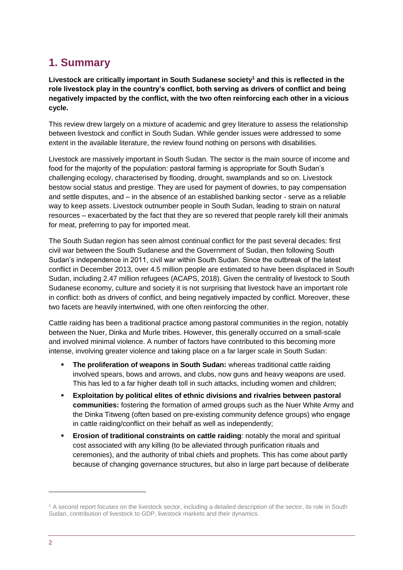# <span id="page-1-0"></span>**1. Summary**

**Livestock are critically important in South Sudanese society<sup>1</sup> and this is reflected in the role livestock play in the country's conflict, both serving as drivers of conflict and being negatively impacted by the conflict, with the two often reinforcing each other in a vicious cycle.** 

This review drew largely on a mixture of academic and grey literature to assess the relationship between livestock and conflict in South Sudan. While gender issues were addressed to some extent in the available literature, the review found nothing on persons with disabilities.

Livestock are massively important in South Sudan. The sector is the main source of income and food for the majority of the population: pastoral farming is appropriate for South Sudan's challenging ecology, characterised by flooding, drought, swamplands and so on. Livestock bestow social status and prestige. They are used for payment of dowries, to pay compensation and settle disputes, and – in the absence of an established banking sector - serve as a reliable way to keep assets. Livestock outnumber people in South Sudan, leading to strain on natural resources – exacerbated by the fact that they are so revered that people rarely kill their animals for meat, preferring to pay for imported meat.

The South Sudan region has seen almost continual conflict for the past several decades: first civil war between the South Sudanese and the Government of Sudan, then following South Sudan's independence in 2011, civil war within South Sudan. Since the outbreak of the latest conflict in December 2013, over 4.5 million people are estimated to have been displaced in South Sudan, including 2.47 million refugees (ACAPS, 2018). Given the centrality of livestock to South Sudanese economy, culture and society it is not surprising that livestock have an important role in conflict: both as drivers of conflict, and being negatively impacted by conflict. Moreover, these two facets are heavily intertwined, with one often reinforcing the other.

Cattle raiding has been a traditional practice among pastoral communities in the region, notably between the Nuer, Dinka and Murle tribes. However, this generally occurred on a small-scale and involved minimal violence. A number of factors have contributed to this becoming more intense, involving greater violence and taking place on a far larger scale in South Sudan:

- **The proliferation of weapons in South Sudan:** whereas traditional cattle raiding involved spears, bows and arrows, and clubs, now guns and heavy weapons are used. This has led to a far higher death toll in such attacks, including women and children;
- **Exploitation by political elites of ethnic divisions and rivalries between pastoral communities:** fostering the formation of armed groups such as the Nuer White Army and the Dinka Titweng (often based on pre-existing community defence groups) who engage in cattle raiding/conflict on their behalf as well as independently;
- **Erosion of traditional constraints on cattle raiding:** notably the moral and spiritual cost associated with any killing (to be alleviated through purification rituals and ceremonies), and the authority of tribal chiefs and prophets. This has come about partly because of changing governance structures, but also in large part because of deliberate

-

<sup>1</sup> A second report focuses on the livestock sector, including a detailed description of the sector, its role in South Sudan, contribution of livestock to GDP, livestock markets and their dynamics.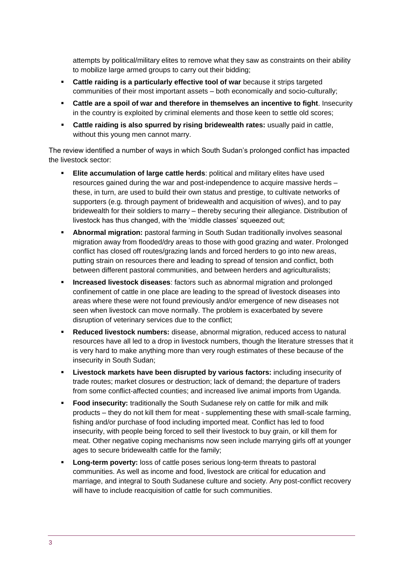attempts by political/military elites to remove what they saw as constraints on their ability to mobilize large armed groups to carry out their bidding;

- **Cattle raiding is a particularly effective tool of war** because it strips targeted communities of their most important assets – both economically and socio-culturally;
- **Cattle are a spoil of war and therefore in themselves an incentive to fight**. Insecurity in the country is exploited by criminal elements and those keen to settle old scores;
- **Cattle raiding is also spurred by rising bridewealth rates:** usually paid in cattle, without this young men cannot marry.

The review identified a number of ways in which South Sudan's prolonged conflict has impacted the livestock sector:

- **Elite accumulation of large cattle herds**: political and military elites have used resources gained during the war and post-independence to acquire massive herds – these, in turn, are used to build their own status and prestige, to cultivate networks of supporters (e.g. through payment of bridewealth and acquisition of wives), and to pay bridewealth for their soldiers to marry – thereby securing their allegiance. Distribution of livestock has thus changed, with the 'middle classes' squeezed out;
- **Abnormal migration:** pastoral farming in South Sudan traditionally involves seasonal migration away from flooded/dry areas to those with good grazing and water. Prolonged conflict has closed off routes/grazing lands and forced herders to go into new areas, putting strain on resources there and leading to spread of tension and conflict, both between different pastoral communities, and between herders and agriculturalists;
- **Increased livestock diseases**: factors such as abnormal migration and prolonged confinement of cattle in one place are leading to the spread of livestock diseases into areas where these were not found previously and/or emergence of new diseases not seen when livestock can move normally. The problem is exacerbated by severe disruption of veterinary services due to the conflict;
- **Reduced livestock numbers:** disease, abnormal migration, reduced access to natural resources have all led to a drop in livestock numbers, though the literature stresses that it is very hard to make anything more than very rough estimates of these because of the insecurity in South Sudan;
- **Livestock markets have been disrupted by various factors:** including insecurity of trade routes; market closures or destruction; lack of demand; the departure of traders from some conflict-affected counties; and increased live animal imports from Uganda.
- **Food insecurity:** traditionally the South Sudanese rely on cattle for milk and milk products – they do not kill them for meat - supplementing these with small-scale farming, fishing and/or purchase of food including imported meat. Conflict has led to food insecurity, with people being forced to sell their livestock to buy grain, or kill them for meat. Other negative coping mechanisms now seen include marrying girls off at younger ages to secure bridewealth cattle for the family;
- **Long-term poverty:** loss of cattle poses serious long-term threats to pastoral communities. As well as income and food, livestock are critical for education and marriage, and integral to South Sudanese culture and society. Any post-conflict recovery will have to include reacquisition of cattle for such communities.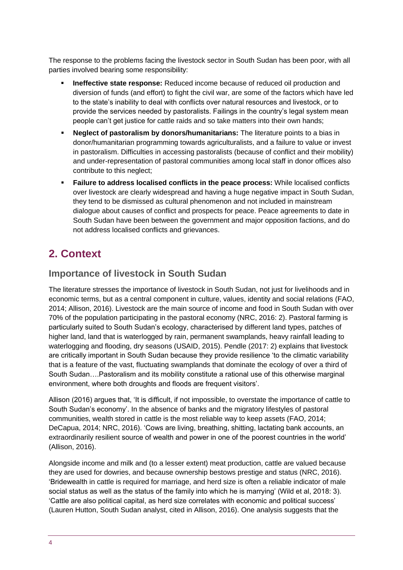The response to the problems facing the livestock sector in South Sudan has been poor, with all parties involved bearing some responsibility:

- **Ineffective state response:** Reduced income because of reduced oil production and diversion of funds (and effort) to fight the civil war, are some of the factors which have led to the state's inability to deal with conflicts over natural resources and livestock, or to provide the services needed by pastoralists. Failings in the country's legal system mean people can't get justice for cattle raids and so take matters into their own hands;
- **Neglect of pastoralism by donors/humanitarians:** The literature points to a bias in donor/humanitarian programming towards agriculturalists, and a failure to value or invest in pastoralism. Difficulties in accessing pastoralists (because of conflict and their mobility) and under-representation of pastoral communities among local staff in donor offices also contribute to this neglect;
- **Failure to address localised conflicts in the peace process:** While localised conflicts over livestock are clearly widespread and having a huge negative impact in South Sudan, they tend to be dismissed as cultural phenomenon and not included in mainstream dialogue about causes of conflict and prospects for peace. Peace agreements to date in South Sudan have been between the government and major opposition factions, and do not address localised conflicts and grievances.

# <span id="page-3-0"></span>**2. Context**

#### **Importance of livestock in South Sudan**

The literature stresses the importance of livestock in South Sudan, not just for livelihoods and in economic terms, but as a central component in culture, values, identity and social relations (FAO, 2014; Allison, 2016). Livestock are the main source of income and food in South Sudan with over 70% of the population participating in the pastoral economy (NRC, 2016: 2). Pastoral farming is particularly suited to South Sudan's ecology, characterised by different land types, patches of higher land, land that is waterlogged by rain, permanent swamplands, heavy rainfall leading to waterlogging and flooding, dry seasons (USAID, 2015). Pendle (2017: 2) explains that livestock are critically important in South Sudan because they provide resilience 'to the climatic variability that is a feature of the vast, fluctuating swamplands that dominate the ecology of over a third of South Sudan….Pastoralism and its mobility constitute a rational use of this otherwise marginal environment, where both droughts and floods are frequent visitors'.

Allison (2016) argues that, 'It is difficult, if not impossible, to overstate the importance of cattle to South Sudan's economy'. In the absence of banks and the migratory lifestyles of pastoral communities, wealth stored in cattle is the most reliable way to keep assets (FAO, 2014; DeCapua, 2014; NRC, 2016). 'Cows are living, breathing, shitting, lactating bank accounts, an extraordinarily resilient source of wealth and power in one of the poorest countries in the world' (Allison, 2016).

Alongside income and milk and (to a lesser extent) meat production, cattle are valued because they are used for dowries, and because ownership bestows prestige and status (NRC, 2016). 'Bridewealth in cattle is required for marriage, and herd size is often a reliable indicator of male social status as well as the status of the family into which he is marrying' (Wild et al, 2018: 3). 'Cattle are also political capital, as herd size correlates with economic and political success' (Lauren Hutton, South Sudan analyst, cited in Allison, 2016). One analysis suggests that the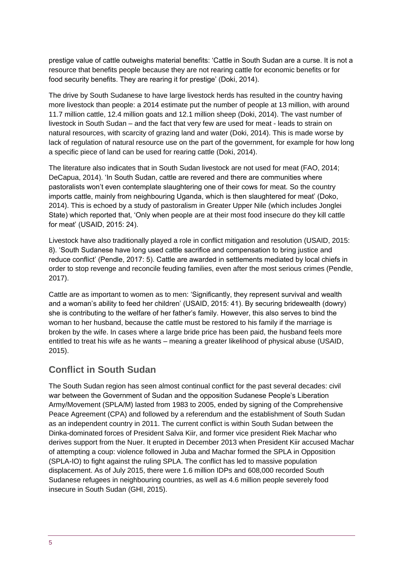prestige value of cattle outweighs material benefits: 'Cattle in South Sudan are a curse. It is not a resource that benefits people because they are not rearing cattle for economic benefits or for food security benefits. They are rearing it for prestige' (Doki, 2014).

The drive by South Sudanese to have large livestock herds has resulted in the country having more livestock than people: a 2014 estimate put the number of people at 13 million, with around 11.7 million cattle, 12.4 million goats and 12.1 million sheep (Doki, 2014). The vast number of livestock in South Sudan – and the fact that very few are used for meat - leads to strain on natural resources, with scarcity of grazing land and water (Doki, 2014). This is made worse by lack of regulation of natural resource use on the part of the government, for example for how long a specific piece of land can be used for rearing cattle (Doki, 2014).

The literature also indicates that in South Sudan livestock are not used for meat (FAO, 2014; DeCapua, 2014). 'In South Sudan, cattle are revered and there are communities where pastoralists won't even contemplate slaughtering one of their cows for meat. So the country imports cattle, mainly from neighbouring Uganda, which is then slaughtered for meat' (Doko, 2014). This is echoed by a study of pastoralism in Greater Upper Nile (which includes Jonglei State) which reported that, 'Only when people are at their most food insecure do they kill cattle for meat' (USAID, 2015: 24).

Livestock have also traditionally played a role in conflict mitigation and resolution (USAID, 2015: 8). 'South Sudanese have long used cattle sacrifice and compensation to bring justice and reduce conflict' (Pendle, 2017: 5). Cattle are awarded in settlements mediated by local chiefs in order to stop revenge and reconcile feuding families, even after the most serious crimes (Pendle, 2017).

Cattle are as important to women as to men: 'Significantly, they represent survival and wealth and a woman's ability to feed her children' (USAID, 2015: 41). By securing bridewealth (dowry) she is contributing to the welfare of her father's family. However, this also serves to bind the woman to her husband, because the cattle must be restored to his family if the marriage is broken by the wife. In cases where a large bride price has been paid, the husband feels more entitled to treat his wife as he wants – meaning a greater likelihood of physical abuse (USAID, 2015).

# **Conflict in South Sudan**

The South Sudan region has seen almost continual conflict for the past several decades: civil war between the Government of Sudan and the opposition Sudanese People's Liberation Army/Movement (SPLA/M) lasted from 1983 to 2005, ended by signing of the Comprehensive Peace Agreement (CPA) and followed by a referendum and the establishment of South Sudan as an independent country in 2011. The current conflict is within South Sudan between the Dinka-dominated forces of President Salva Kiir, and former vice president Riek Machar who derives support from the Nuer. It erupted in December 2013 when President Kiir accused Machar of attempting a coup: violence followed in Juba and Machar formed the SPLA in Opposition (SPLA-IO) to fight against the ruling SPLA. The conflict has led to massive population displacement. As of July 2015, there were 1.6 million IDPs and 608,000 recorded South Sudanese refugees in neighbouring countries, as well as 4.6 million people severely food insecure in South Sudan (GHI, 2015).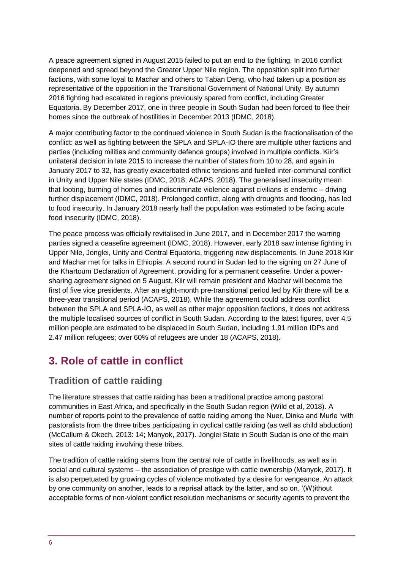A peace agreement signed in August 2015 failed to put an end to the fighting. In 2016 conflict deepened and spread beyond the Greater Upper Nile region. The opposition split into further factions, with some loyal to Machar and others to Taban Deng, who had taken up a position as representative of the opposition in the Transitional Government of National Unity. By autumn 2016 fighting had escalated in regions previously spared from conflict, including Greater Equatoria. By December 2017, one in three people in South Sudan had been forced to flee their homes since the outbreak of hostilities in December 2013 (IDMC, 2018).

A major contributing factor to the continued violence in South Sudan is the fractionalisation of the conflict: as well as fighting between the SPLA and SPLA-IO there are multiple other factions and parties (including militias and community defence groups) involved in multiple conflicts. Kiir's unilateral decision in late 2015 to increase the number of states from 10 to 28, and again in January 2017 to 32, has greatly exacerbated ethnic tensions and fuelled inter-communal conflict in Unity and Upper Nile states (IDMC, 2018; ACAPS, 2018). The generalised insecurity mean that looting, burning of homes and indiscriminate violence against civilians is endemic – driving further displacement (IDMC, 2018). Prolonged conflict, along with droughts and flooding, has led to food insecurity. In January 2018 nearly half the population was estimated to be facing acute food insecurity (IDMC, 2018).

The peace process was officially revitalised in June 2017, and in December 2017 the warring parties signed a ceasefire agreement (IDMC, 2018). However, early 2018 saw intense fighting in Upper Nile, Jonglei, Unity and Central Equatoria, triggering new displacements. In June 2018 Kiir and Machar met for talks in Ethiopia. A second round in Sudan led to the signing on 27 June of the Khartoum Declaration of Agreement, providing for a permanent ceasefire. Under a powersharing agreement signed on 5 August, Kiir will remain president and Machar will become the first of five vice presidents. After an eight-month pre-transitional period led by Kiir there will be a three-year transitional period (ACAPS, 2018). While the agreement could address conflict between the SPLA and SPLA-IO, as well as other major opposition factions, it does not address the multiple localised sources of conflict in South Sudan. According to the latest figures, over 4.5 million people are estimated to be displaced in South Sudan, including 1.91 million IDPs and 2.47 million refugees; over 60% of refugees are under 18 (ACAPS, 2018).

# <span id="page-5-0"></span>**3. Role of cattle in conflict**

## **Tradition of cattle raiding**

The literature stresses that cattle raiding has been a traditional practice among pastoral communities in East Africa, and specifically in the South Sudan region (Wild et al, 2018). A number of reports point to the prevalence of cattle raiding among the Nuer, Dinka and Murle 'with pastoralists from the three tribes participating in cyclical cattle raiding (as well as child abduction) (McCallum & Okech, 2013: 14; Manyok, 2017). Jonglei State in South Sudan is one of the main sites of cattle raiding involving these tribes.

The tradition of cattle raiding stems from the central role of cattle in livelihoods, as well as in social and cultural systems – the association of prestige with cattle ownership (Manyok, 2017). It is also perpetuated by growing cycles of violence motivated by a desire for vengeance. An attack by one community on another, leads to a reprisal attack by the latter, and so on. '(W)ithout acceptable forms of non-violent conflict resolution mechanisms or security agents to prevent the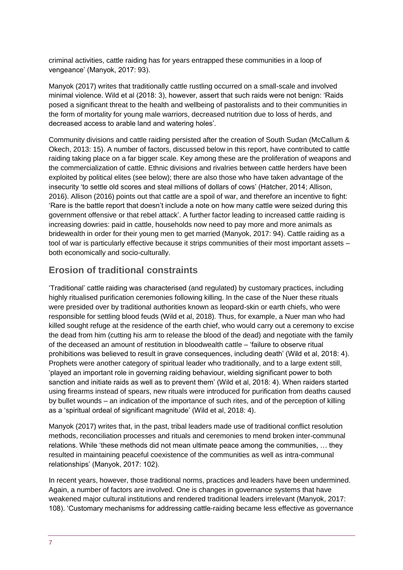criminal activities, cattle raiding has for years entrapped these communities in a loop of vengeance' (Manyok, 2017: 93).

Manyok (2017) writes that traditionally cattle rustling occurred on a small-scale and involved minimal violence. Wild et al (2018: 3), however, assert that such raids were not benign: 'Raids posed a significant threat to the health and wellbeing of pastoralists and to their communities in the form of mortality for young male warriors, decreased nutrition due to loss of herds, and decreased access to arable land and watering holes'.

Community divisions and cattle raiding persisted after the creation of South Sudan (McCallum & Okech, 2013: 15). A number of factors, discussed below in this report, have contributed to cattle raiding taking place on a far bigger scale. Key among these are the proliferation of weapons and the commercialization of cattle. Ethnic divisions and rivalries between cattle herders have been exploited by political elites (see below); there are also those who have taken advantage of the insecurity 'to settle old scores and steal millions of dollars of cows' (Hatcher, 2014; Allison, 2016). Allison (2016) points out that cattle are a spoil of war, and therefore an incentive to fight: 'Rare is the battle report that doesn't include a note on how many cattle were seized during this government offensive or that rebel attack'. A further factor leading to increased cattle raiding is increasing dowries: paid in cattle, households now need to pay more and more animals as bridewealth in order for their young men to get married (Manyok, 2017: 94). Cattle raiding as a tool of war is particularly effective because it strips communities of their most important assets – both economically and socio-culturally.

## **Erosion of traditional constraints**

'Traditional' cattle raiding was characterised (and regulated) by customary practices, including highly ritualised purification ceremonies following killing. In the case of the Nuer these rituals were presided over by traditional authorities known as leopard-skin or earth chiefs, who were responsible for settling blood feuds (Wild et al, 2018). Thus, for example, a Nuer man who had killed sought refuge at the residence of the earth chief, who would carry out a ceremony to excise the dead from him (cutting his arm to release the blood of the dead) and negotiate with the family of the deceased an amount of restitution in bloodwealth cattle – 'failure to observe ritual prohibitions was believed to result in grave consequences, including death' (Wild et al, 2018: 4). Prophets were another category of spiritual leader who traditionally, and to a large extent still, 'played an important role in governing raiding behaviour, wielding significant power to both sanction and initiate raids as well as to prevent them' (Wild et al, 2018: 4). When raiders started using firearms instead of spears, new rituals were introduced for purification from deaths caused by bullet wounds – an indication of the importance of such rites, and of the perception of killing as a 'spiritual ordeal of significant magnitude' (Wild et al, 2018: 4).

Manyok (2017) writes that, in the past, tribal leaders made use of traditional conflict resolution methods, reconciliation processes and rituals and ceremonies to mend broken inter-communal relations. While 'these methods did not mean ultimate peace among the communities, … they resulted in maintaining peaceful coexistence of the communities as well as intra-communal relationships' (Manyok, 2017: 102).

In recent years, however, those traditional norms, practices and leaders have been undermined. Again, a number of factors are involved. One is changes in governance systems that have weakened major cultural institutions and rendered traditional leaders irrelevant (Manyok, 2017: 108). 'Customary mechanisms for addressing cattle-raiding became less effective as governance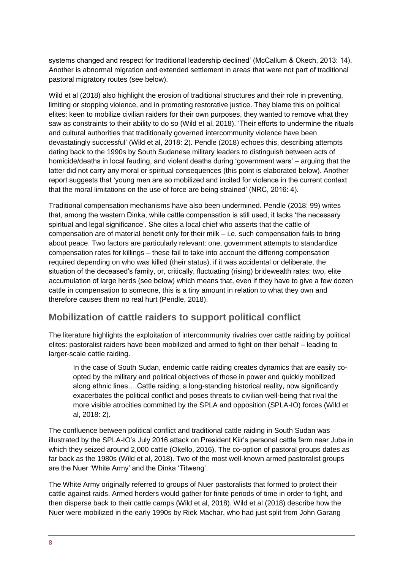systems changed and respect for traditional leadership declined' (McCallum & Okech, 2013: 14). Another is abnormal migration and extended settlement in areas that were not part of traditional pastoral migratory routes (see below).

Wild et al (2018) also highlight the erosion of traditional structures and their role in preventing, limiting or stopping violence, and in promoting restorative justice. They blame this on political elites: keen to mobilize civilian raiders for their own purposes, they wanted to remove what they saw as constraints to their ability to do so (Wild et al, 2018). 'Their efforts to undermine the rituals and cultural authorities that traditionally governed intercommunity violence have been devastatingly successful' (Wild et al, 2018: 2). Pendle (2018) echoes this, describing attempts dating back to the 1990s by South Sudanese military leaders to distinguish between acts of homicide/deaths in local feuding, and violent deaths during 'government wars' – arguing that the latter did not carry any moral or spiritual consequences (this point is elaborated below). Another report suggests that 'young men are so mobilized and incited for violence in the current context that the moral limitations on the use of force are being strained' (NRC, 2016: 4).

Traditional compensation mechanisms have also been undermined. Pendle (2018: 99) writes that, among the western Dinka, while cattle compensation is still used, it lacks 'the necessary spiritual and legal significance'. She cites a local chief who asserts that the cattle of compensation are of material benefit only for their milk – i.e. such compensation fails to bring about peace. Two factors are particularly relevant: one, government attempts to standardize compensation rates for killings – these fail to take into account the differing compensation required depending on who was killed (their status), if it was accidental or deliberate, the situation of the deceased's family, or, critically, fluctuating (rising) bridewealth rates; two, elite accumulation of large herds (see below) which means that, even if they have to give a few dozen cattle in compensation to someone, this is a tiny amount in relation to what they own and therefore causes them no real hurt (Pendle, 2018).

## **Mobilization of cattle raiders to support political conflict**

The literature highlights the exploitation of intercommunity rivalries over cattle raiding by political elites: pastoralist raiders have been mobilized and armed to fight on their behalf – leading to larger-scale cattle raiding.

In the case of South Sudan, endemic cattle raiding creates dynamics that are easily coopted by the military and political objectives of those in power and quickly mobilized along ethnic lines….Cattle raiding, a long-standing historical reality, now significantly exacerbates the political conflict and poses threats to civilian well-being that rival the more visible atrocities committed by the SPLA and opposition (SPLA-IO) forces (Wild et al, 2018: 2).

The confluence between political conflict and traditional cattle raiding in South Sudan was illustrated by the SPLA-IO's July 2016 attack on President Kiir's personal cattle farm near Juba in which they seized around 2,000 cattle (Okello, 2016). The co-option of pastoral groups dates as far back as the 1980s (Wild et al, 2018). Two of the most well-known armed pastoralist groups are the Nuer 'White Army' and the Dinka 'Titweng'.

The White Army originally referred to groups of Nuer pastoralists that formed to protect their cattle against raids. Armed herders would gather for finite periods of time in order to fight, and then disperse back to their cattle camps (Wild et al, 2018). Wild et al (2018) describe how the Nuer were mobilized in the early 1990s by Riek Machar, who had just split from John Garang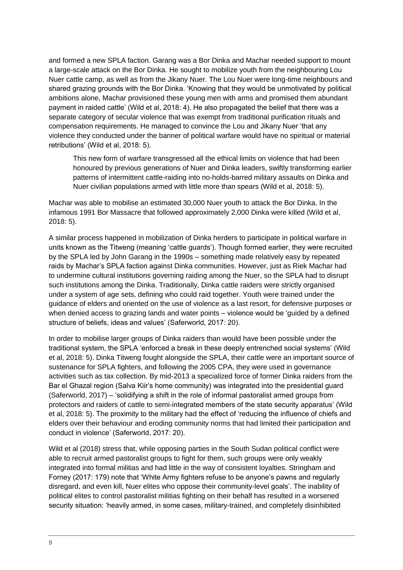and formed a new SPLA faction. Garang was a Bor Dinka and Machar needed support to mount a large-scale attack on the Bor Dinka. He sought to mobilize youth from the neighbouring Lou Nuer cattle camp, as well as from the Jikany Nuer. The Lou Nuer were long-time neighbours and shared grazing grounds with the Bor Dinka. 'Knowing that they would be unmotivated by political ambitions alone, Machar provisioned these young men with arms and promised them abundant payment in raided cattle' (Wild et al, 2018: 4). He also propagated the belief that there was a separate category of secular violence that was exempt from traditional purification rituals and compensation requirements. He managed to convince the Lou and Jikany Nuer 'that any violence they conducted under the banner of political warfare would have no spiritual or material retributions' (Wild et al, 2018: 5).

This new form of warfare transgressed all the ethical limits on violence that had been honoured by previous generations of Nuer and Dinka leaders, swiftly transforming earlier patterns of intermittent cattle-raiding into no-holds-barred military assaults on Dinka and Nuer civilian populations armed with little more than spears (Wild et al, 2018: 5).

Machar was able to mobilise an estimated 30,000 Nuer youth to attack the Bor Dinka. In the infamous 1991 Bor Massacre that followed approximately 2,000 Dinka were killed (Wild et al, 2018: 5).

A similar process happened in mobilization of Dinka herders to participate in political warfare in units known as the Titweng (meaning 'cattle guards'). Though formed earlier, they were recruited by the SPLA led by John Garang in the 1990s – something made relatively easy by repeated raids by Machar's SPLA faction against Dinka communities. However, just as Riek Machar had to undermine cultural institutions governing raiding among the Nuer, so the SPLA had to disrupt such institutions among the Dinka. Traditionally, Dinka cattle raiders were strictly organised under a system of age sets, defining who could raid together. Youth were trained under the guidance of elders and oriented on the use of violence as a last resort, for defensive purposes or when denied access to grazing lands and water points – violence would be 'guided by a defined structure of beliefs, ideas and values' (Saferworld, 2017: 20).

In order to mobilise larger groups of Dinka raiders than would have been possible under the traditional system, the SPLA 'enforced a break in these deeply entrenched social systems' (Wild et al, 2018: 5). Dinka Titweng fought alongside the SPLA, their cattle were an important source of sustenance for SPLA fighters, and following the 2005 CPA, they were used in governance activities such as tax collection. By mid-2013 a specialized force of former Dinka raiders from the Bar el Ghazal region (Salva Kiir's home community) was integrated into the presidential guard (Saferworld, 2017) – 'solidifying a shift in the role of informal pastoralist armed groups from protectors and raiders of cattle to semi-integrated members of the state security apparatus' (Wild et al, 2018: 5). The proximity to the military had the effect of 'reducing the influence of chiefs and elders over their behaviour and eroding community norms that had limited their participation and conduct in violence' (Saferworld, 2017: 20).

Wild et al (2018) stress that, while opposing parties in the South Sudan political conflict were able to recruit armed pastoralist groups to fight for them, such groups were only weakly integrated into formal militias and had little in the way of consistent loyalties. Stringham and Forney (2017: 179) note that 'White Army fighters refuse to be anyone's pawns and regularly disregard, and even kill, Nuer elites who oppose their community-level goals'. The inability of political elites to control pastoralist militias fighting on their behalf has resulted in a worsened security situation: 'heavily armed, in some cases, military-trained, and completely disinhibited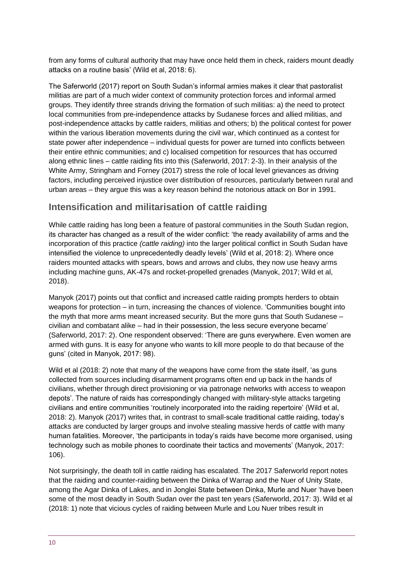from any forms of cultural authority that may have once held them in check, raiders mount deadly attacks on a routine basis' (Wild et al, 2018: 6).

The Saferworld (2017) report on South Sudan's informal armies makes it clear that pastoralist militias are part of a much wider context of community protection forces and informal armed groups. They identify three strands driving the formation of such militias: a) the need to protect local communities from pre-independence attacks by Sudanese forces and allied militias, and post-independence attacks by cattle raiders, militias and others; b) the political contest for power within the various liberation movements during the civil war, which continued as a contest for state power after independence – individual quests for power are turned into conflicts between their entire ethnic communities; and c) localised competition for resources that has occurred along ethnic lines – cattle raiding fits into this (Saferworld, 2017: 2-3). In their analysis of the White Army, Stringham and Forney (2017) stress the role of local level grievances as driving factors, including perceived injustice over distribution of resources, particularly between rural and urban areas – they argue this was a key reason behind the notorious attack on Bor in 1991.

#### **Intensification and militarisation of cattle raiding**

While cattle raiding has long been a feature of pastoral communities in the South Sudan region, its character has changed as a result of the wider conflict: 'the ready availability of arms and the incorporation of this practice *(cattle raiding)* into the larger political conflict in South Sudan have intensified the violence to unprecedentedly deadly levels' (Wild et al, 2018: 2). Where once raiders mounted attacks with spears, bows and arrows and clubs, they now use heavy arms including machine guns, AK-47s and rocket-propelled grenades (Manyok, 2017; Wild et al, 2018).

Manyok (2017) points out that conflict and increased cattle raiding prompts herders to obtain weapons for protection – in turn, increasing the chances of violence. 'Communities bought into the myth that more arms meant increased security. But the more guns that South Sudanese – civilian and combatant alike – had in their possession, the less secure everyone became' (Saferworld, 2017: 2). One respondent observed: 'There are guns everywhere. Even women are armed with guns. It is easy for anyone who wants to kill more people to do that because of the guns' (cited in Manyok, 2017: 98).

Wild et al (2018: 2) note that many of the weapons have come from the state itself, 'as guns collected from sources including disarmament programs often end up back in the hands of civilians, whether through direct provisioning or via patronage networks with access to weapon depots'. The nature of raids has correspondingly changed with military-style attacks targeting civilians and entire communities 'routinely incorporated into the raiding repertoire' (Wild et al, 2018: 2). Manyok (2017) writes that, in contrast to small-scale traditional cattle raiding, today's attacks are conducted by larger groups and involve stealing massive herds of cattle with many human fatalities. Moreover, 'the participants in today's raids have become more organised, using technology such as mobile phones to coordinate their tactics and movements' (Manyok, 2017: 106).

Not surprisingly, the death toll in cattle raiding has escalated. The 2017 Saferworld report notes that the raiding and counter-raiding between the Dinka of Warrap and the Nuer of Unity State, among the Agar Dinka of Lakes, and in Jonglei State between Dinka, Murle and Nuer 'have been some of the most deadly in South Sudan over the past ten years (Saferworld, 2017: 3). Wild et al (2018: 1) note that vicious cycles of raiding between Murle and Lou Nuer tribes result in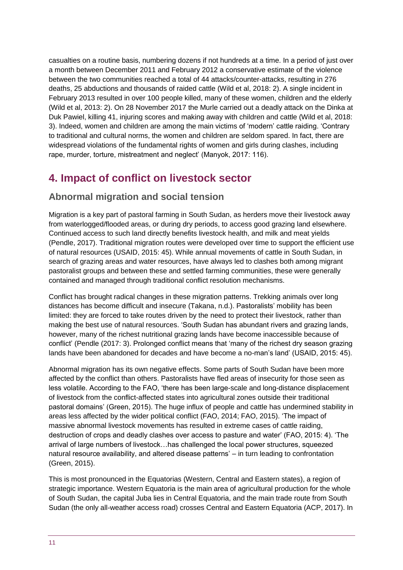casualties on a routine basis, numbering dozens if not hundreds at a time. In a period of just over a month between December 2011 and February 2012 a conservative estimate of the violence between the two communities reached a total of 44 attacks/counter-attacks, resulting in 276 deaths, 25 abductions and thousands of raided cattle (Wild et al, 2018: 2). A single incident in February 2013 resulted in over 100 people killed, many of these women, children and the elderly (Wild et al, 2013: 2). On 28 November 2017 the Murle carried out a deadly attack on the Dinka at Duk Pawiel, killing 41, injuring scores and making away with children and cattle (Wild et al, 2018: 3). Indeed, women and children are among the main victims of 'modern' cattle raiding. 'Contrary to traditional and cultural norms, the women and children are seldom spared. In fact, there are widespread violations of the fundamental rights of women and girls during clashes, including rape, murder, torture, mistreatment and neglect' (Manyok, 2017: 116).

# <span id="page-10-0"></span>**4. Impact of conflict on livestock sector**

#### **Abnormal migration and social tension**

Migration is a key part of pastoral farming in South Sudan, as herders move their livestock away from waterlogged/flooded areas, or during dry periods, to access good grazing land elsewhere. Continued access to such land directly benefits livestock health, and milk and meat yields (Pendle, 2017). Traditional migration routes were developed over time to support the efficient use of natural resources (USAID, 2015: 45). While annual movements of cattle in South Sudan, in search of grazing areas and water resources, have always led to clashes both among migrant pastoralist groups and between these and settled farming communities, these were generally contained and managed through traditional conflict resolution mechanisms.

Conflict has brought radical changes in these migration patterns. Trekking animals over long distances has become difficult and insecure (Takana, n.d.). Pastoralists' mobility has been limited: they are forced to take routes driven by the need to protect their livestock, rather than making the best use of natural resources. 'South Sudan has abundant rivers and grazing lands, however, many of the richest nutritional grazing lands have become inaccessible because of conflict' (Pendle (2017: 3). Prolonged conflict means that 'many of the richest dry season grazing lands have been abandoned for decades and have become a no-man's land' (USAID, 2015: 45).

Abnormal migration has its own negative effects. Some parts of South Sudan have been more affected by the conflict than others. Pastoralists have fled areas of insecurity for those seen as less volatile. According to the FAO, 'there has been large-scale and long-distance displacement of livestock from the conflict-affected states into agricultural zones outside their traditional pastoral domains' (Green, 2015). The huge influx of people and cattle has undermined stability in areas less affected by the wider political conflict (FAO, 2014; FAO, 2015). 'The impact of massive abnormal livestock movements has resulted in extreme cases of cattle raiding, destruction of crops and deadly clashes over access to pasture and water' (FAO, 2015: 4). 'The arrival of large numbers of livestock…has challenged the local power structures, squeezed natural resource availability, and altered disease patterns' – in turn leading to confrontation (Green, 2015).

This is most pronounced in the Equatorias (Western, Central and Eastern states), a region of strategic importance. Western Equatoria is the main area of agricultural production for the whole of South Sudan, the capital Juba lies in Central Equatoria, and the main trade route from South Sudan (the only all-weather access road) crosses Central and Eastern Equatoria (ACP, 2017). In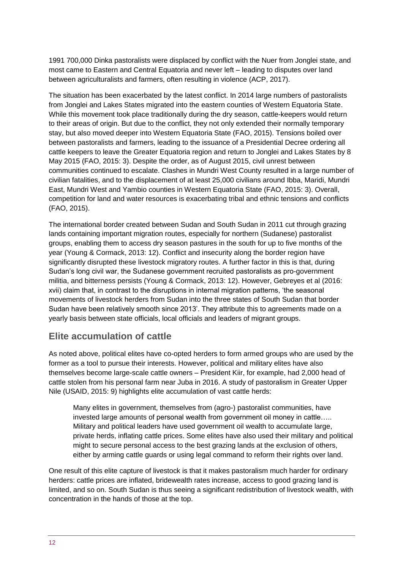1991 700,000 Dinka pastoralists were displaced by conflict with the Nuer from Jonglei state, and most came to Eastern and Central Equatoria and never left – leading to disputes over land between agriculturalists and farmers, often resulting in violence (ACP, 2017).

The situation has been exacerbated by the latest conflict. In 2014 large numbers of pastoralists from Jonglei and Lakes States migrated into the eastern counties of Western Equatoria State. While this movement took place traditionally during the dry season, cattle-keepers would return to their areas of origin. But due to the conflict, they not only extended their normally temporary stay, but also moved deeper into Western Equatoria State (FAO, 2015). Tensions boiled over between pastoralists and farmers, leading to the issuance of a Presidential Decree ordering all cattle keepers to leave the Greater Equatoria region and return to Jonglei and Lakes States by 8 May 2015 (FAO, 2015: 3). Despite the order, as of August 2015, civil unrest between communities continued to escalate. Clashes in Mundri West County resulted in a large number of civilian fatalities, and to the displacement of at least 25,000 civilians around Ibba, Maridi, Mundri East, Mundri West and Yambio counties in Western Equatoria State (FAO, 2015: 3). Overall, competition for land and water resources is exacerbating tribal and ethnic tensions and conflicts (FAO, 2015).

The international border created between Sudan and South Sudan in 2011 cut through grazing lands containing important migration routes, especially for northern (Sudanese) pastoralist groups, enabling them to access dry season pastures in the south for up to five months of the year (Young & Cormack, 2013: 12). Conflict and insecurity along the border region have significantly disrupted these livestock migratory routes. A further factor in this is that, during Sudan's long civil war, the Sudanese government recruited pastoralists as pro-government militia, and bitterness persists (Young & Cormack, 2013: 12). However, Gebreyes et al (2016: xvii) claim that, in contrast to the disruptions in internal migration patterns, 'the seasonal movements of livestock herders from Sudan into the three states of South Sudan that border Sudan have been relatively smooth since 2013'. They attribute this to agreements made on a yearly basis between state officials, local officials and leaders of migrant groups.

#### **Elite accumulation of cattle**

As noted above, political elites have co-opted herders to form armed groups who are used by the former as a tool to pursue their interests. However, political and military elites have also themselves become large-scale cattle owners – President Kiir, for example, had 2,000 head of cattle stolen from his personal farm near Juba in 2016. A study of pastoralism in Greater Upper Nile (USAID, 2015: 9) highlights elite accumulation of vast cattle herds:

Many elites in government, themselves from (agro-) pastoralist communities, have invested large amounts of personal wealth from government oil money in cattle….. Military and political leaders have used government oil wealth to accumulate large, private herds, inflating cattle prices. Some elites have also used their military and political might to secure personal access to the best grazing lands at the exclusion of others, either by arming cattle guards or using legal command to reform their rights over land.

One result of this elite capture of livestock is that it makes pastoralism much harder for ordinary herders: cattle prices are inflated, bridewealth rates increase, access to good grazing land is limited, and so on. South Sudan is thus seeing a significant redistribution of livestock wealth, with concentration in the hands of those at the top.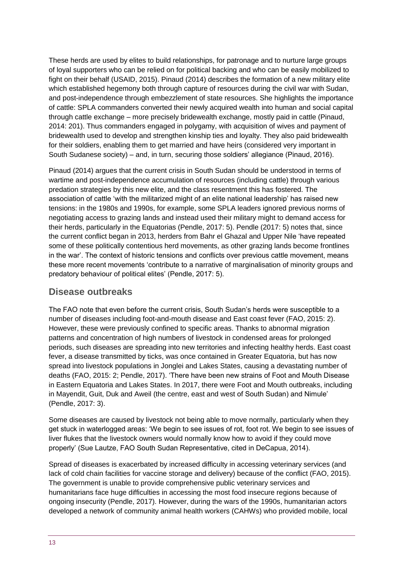These herds are used by elites to build relationships, for patronage and to nurture large groups of loyal supporters who can be relied on for political backing and who can be easily mobilized to fight on their behalf (USAID, 2015). Pinaud (2014) describes the formation of a new military elite which established hegemony both through capture of resources during the civil war with Sudan, and post-independence through embezzlement of state resources. She highlights the importance of cattle: SPLA commanders converted their newly acquired wealth into human and social capital through cattle exchange – more precisely bridewealth exchange, mostly paid in cattle (Pinaud, 2014: 201). Thus commanders engaged in polygamy, with acquisition of wives and payment of bridewealth used to develop and strengthen kinship ties and loyalty. They also paid bridewealth for their soldiers, enabling them to get married and have heirs (considered very important in South Sudanese society) – and, in turn, securing those soldiers' allegiance (Pinaud, 2016).

Pinaud (2014) argues that the current crisis in South Sudan should be understood in terms of wartime and post-independence accumulation of resources (including cattle) through various predation strategies by this new elite, and the class resentment this has fostered. The association of cattle 'with the militarized might of an elite national leadership' has raised new tensions: in the 1980s and 1990s, for example, some SPLA leaders ignored previous norms of negotiating access to grazing lands and instead used their military might to demand access for their herds, particularly in the Equatorias (Pendle, 2017: 5). Pendle (2017: 5) notes that, since the current conflict began in 2013, herders from Bahr el Ghazal and Upper Nile 'have repeated some of these politically contentious herd movements, as other grazing lands become frontlines in the war'. The context of historic tensions and conflicts over previous cattle movement, means these more recent movements 'contribute to a narrative of marginalisation of minority groups and predatory behaviour of political elites' (Pendle, 2017: 5).

#### **Disease outbreaks**

The FAO note that even before the current crisis, South Sudan's herds were susceptible to a number of diseases including foot-and-mouth disease and East coast fever (FAO, 2015: 2). However, these were previously confined to specific areas. Thanks to abnormal migration patterns and concentration of high numbers of livestock in condensed areas for prolonged periods, such diseases are spreading into new territories and infecting healthy herds. East coast fever, a disease transmitted by ticks, was once contained in Greater Equatoria, but has now spread into livestock populations in Jonglei and Lakes States, causing a devastating number of deaths (FAO, 2015: 2; Pendle, 2017). 'There have been new strains of Foot and Mouth Disease in Eastern Equatoria and Lakes States. In 2017, there were Foot and Mouth outbreaks, including in Mayendit, Guit, Duk and Aweil (the centre, east and west of South Sudan) and Nimule' (Pendle, 2017: 3).

Some diseases are caused by livestock not being able to move normally, particularly when they get stuck in waterlogged areas: 'We begin to see issues of rot, foot rot. We begin to see issues of liver flukes that the livestock owners would normally know how to avoid if they could move properly' (Sue Lautze, FAO South Sudan Representative, cited in DeCapua, 2014).

Spread of diseases is exacerbated by increased difficulty in accessing veterinary services (and lack of cold chain facilities for vaccine storage and delivery) because of the conflict (FAO, 2015). The government is unable to provide comprehensive public veterinary services and humanitarians face huge difficulties in accessing the most food insecure regions because of ongoing insecurity (Pendle, 2017). However, during the wars of the 1990s, humanitarian actors developed a network of community animal health workers (CAHWs) who provided mobile, local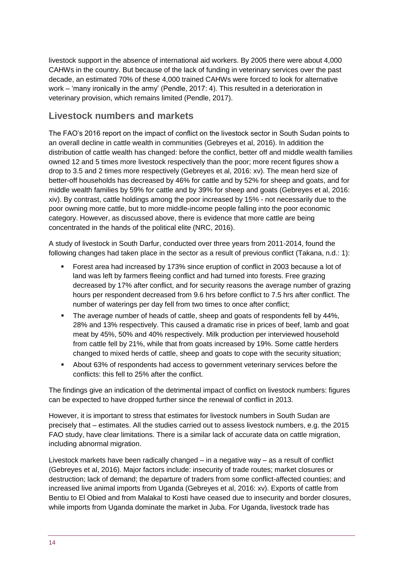livestock support in the absence of international aid workers. By 2005 there were about 4,000 CAHWs in the country. But because of the lack of funding in veterinary services over the past decade, an estimated 70% of these 4,000 trained CAHWs were forced to look for alternative work – 'many ironically in the army' (Pendle, 2017: 4). This resulted in a deterioration in veterinary provision, which remains limited (Pendle, 2017).

## **Livestock numbers and markets**

The FAO's 2016 report on the impact of conflict on the livestock sector in South Sudan points to an overall decline in cattle wealth in communities (Gebreyes et al, 2016). In addition the distribution of cattle wealth has changed: before the conflict, better off and middle wealth families owned 12 and 5 times more livestock respectively than the poor; more recent figures show a drop to 3.5 and 2 times more respectively (Gebreyes et al, 2016: xv). The mean herd size of better-off households has decreased by 46% for cattle and by 52% for sheep and goats, and for middle wealth families by 59% for cattle and by 39% for sheep and goats (Gebreyes et al, 2016: xiv). By contrast, cattle holdings among the poor increased by 15% - not necessarily due to the poor owning more cattle, but to more middle-income people falling into the poor economic category. However, as discussed above, there is evidence that more cattle are being concentrated in the hands of the political elite (NRC, 2016).

A study of livestock in South Darfur, conducted over three years from 2011-2014, found the following changes had taken place in the sector as a result of previous conflict (Takana, n.d.: 1):

- Forest area had increased by 173% since eruption of conflict in 2003 because a lot of land was left by farmers fleeing conflict and had turned into forests. Free grazing decreased by 17% after conflict, and for security reasons the average number of grazing hours per respondent decreased from 9.6 hrs before conflict to 7.5 hrs after conflict. The number of waterings per day fell from two times to once after conflict;
- The average number of heads of cattle, sheep and goats of respondents fell by 44%, 28% and 13% respectively. This caused a dramatic rise in prices of beef, lamb and goat meat by 45%, 50% and 40% respectively. Milk production per interviewed household from cattle fell by 21%, while that from goats increased by 19%. Some cattle herders changed to mixed herds of cattle, sheep and goats to cope with the security situation;
- About 63% of respondents had access to government veterinary services before the conflicts: this fell to 25% after the conflict.

The findings give an indication of the detrimental impact of conflict on livestock numbers: figures can be expected to have dropped further since the renewal of conflict in 2013.

However, it is important to stress that estimates for livestock numbers in South Sudan are precisely that – estimates. All the studies carried out to assess livestock numbers, e.g. the 2015 FAO study, have clear limitations. There is a similar lack of accurate data on cattle migration, including abnormal migration.

Livestock markets have been radically changed – in a negative way – as a result of conflict (Gebreyes et al, 2016). Major factors include: insecurity of trade routes; market closures or destruction; lack of demand; the departure of traders from some conflict-affected counties; and increased live animal imports from Uganda (Gebreyes et al, 2016: xv). Exports of cattle from Bentiu to El Obied and from Malakal to Kosti have ceased due to insecurity and border closures, while imports from Uganda dominate the market in Juba. For Uganda, livestock trade has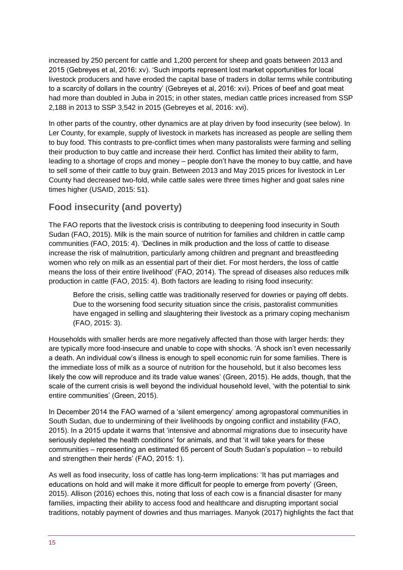increased by 250 percent for cattle and 1,200 percent for sheep and goats between 2013 and 2015 (Gebreyes et al, 2016: xv). 'Such imports represent lost market opportunities for local livestock producers and have eroded the capital base of traders in dollar terms while contributing to a scarcity of dollars in the country' (Gebreyes et al, 2016: xvi). Prices of beef and goat meat had more than doubled in Juba in 2015; in other states, median cattle prices increased from SSP 2,188 in 2013 to SSP 3,542 in 2015 (Gebreyes et al, 2016: xvi).

In other parts of the country, other dynamics are at play driven by food insecurity (see below). In Ler County, for example, supply of livestock in markets has increased as people are selling them to buy food. This contrasts to pre-conflict times when many pastoralists were farming and selling their production to buy cattle and increase their herd. Conflict has limited their ability to farm, leading to a shortage of crops and money – people don't have the money to buy cattle, and have to sell some of their cattle to buy grain. Between 2013 and May 2015 prices for livestock in Ler County had decreased two-fold, while cattle sales were three times higher and goat sales nine times higher (USAID, 2015: 51).

## **Food insecurity (and poverty)**

The FAO reports that the livestock crisis is contributing to deepening food insecurity in South Sudan (FAO, 2015). Milk is the main source of nutrition for families and children in cattle camp communities (FAO, 2015: 4). 'Declines in milk production and the loss of cattle to disease increase the risk of malnutrition, particularly among children and pregnant and breastfeeding women who rely on milk as an essential part of their diet. For most herders, the loss of cattle means the loss of their entire livelihood' (FAO, 2014). The spread of diseases also reduces milk production in cattle (FAO, 2015: 4). Both factors are leading to rising food insecurity:

Before the crisis, selling cattle was traditionally reserved for dowries or paying off debts. Due to the worsening food security situation since the crisis, pastoralist communities have engaged in selling and slaughtering their livestock as a primary coping mechanism (FAO, 2015: 3).

Households with smaller herds are more negatively affected than those with larger herds: they are typically more food-insecure and unable to cope with shocks. 'A shock isn't even necessarily a death. An individual cow's illness is enough to spell economic ruin for some families. There is the immediate loss of milk as a source of nutrition for the household, but it also becomes less likely the cow will reproduce and its trade value wanes' (Green, 2015). He adds, though, that the scale of the current crisis is well beyond the individual household level, 'with the potential to sink entire communities' (Green, 2015).

In December 2014 the FAO warned of a 'silent emergency' among agropastoral communities in South Sudan, due to undermining of their livelihoods by ongoing conflict and instability (FAO, 2015). In a 2015 update it warns that 'intensive and abnormal migrations due to insecurity have seriously depleted the health conditions' for animals, and that 'it will take years for these communities – representing an estimated 65 percent of South Sudan's population – to rebuild and strengthen their herds' (FAO, 2015: 1).

As well as food insecurity, loss of cattle has long-term implications: 'It has put marriages and educations on hold and will make it more difficult for people to emerge from poverty' (Green, 2015). Allison (2016) echoes this, noting that loss of each cow is a financial disaster for many families, impacting their ability to access food and healthcare and disrupting important social traditions, notably payment of dowries and thus marriages. Manyok (2017) highlights the fact that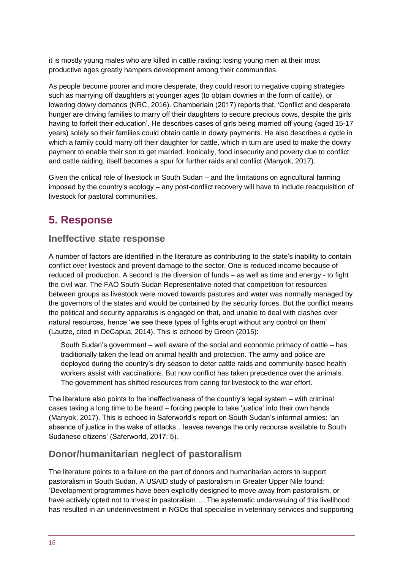it is mostly young males who are killed in cattle raiding: losing young men at their most productive ages greatly hampers development among their communities.

As people become poorer and more desperate, they could resort to negative coping strategies such as marrying off daughters at younger ages (to obtain dowries in the form of cattle), or lowering dowry demands (NRC, 2016). Chamberlain (2017) reports that, 'Conflict and desperate hunger are driving families to marry off their daughters to secure precious cows, despite the girls having to forfeit their education'. He describes cases of girls being married off young (aged 15-17 years) solely so their families could obtain cattle in dowry payments. He also describes a cycle in which a family could marry off their daughter for cattle, which in turn are used to make the dowry payment to enable their son to get married. Ironically, food insecurity and poverty due to conflict and cattle raiding, itself becomes a spur for further raids and conflict (Manyok, 2017).

Given the critical role of livestock in South Sudan – and the limitations on agricultural farming imposed by the country's ecology – any post-conflict recovery will have to include reacquisition of livestock for pastoral communities.

# <span id="page-15-0"></span>**5. Response**

#### **Ineffective state response**

A number of factors are identified in the literature as contributing to the state's inability to contain conflict over livestock and prevent damage to the sector. One is reduced income because of reduced oil production. A second is the diversion of funds – as well as time and energy - to fight the civil war. The FAO South Sudan Representative noted that competition for resources between groups as livestock were moved towards pastures and water was normally managed by the governors of the states and would be contained by the security forces. But the conflict means the political and security apparatus is engaged on that, and unable to deal with clashes over natural resources, hence 'we see these types of fights erupt without any control on them' (Lautze, cited in DeCapua, 2014). This is echoed by Green (2015):

South Sudan's government – well aware of the social and economic primacy of cattle – has traditionally taken the lead on animal health and protection. The army and police are deployed during the country's dry season to deter cattle raids and community-based health workers assist with vaccinations. But now conflict has taken precedence over the animals. The government has shifted resources from caring for livestock to the war effort.

The literature also points to the ineffectiveness of the country's legal system – with criminal cases taking a long time to be heard – forcing people to take 'justice' into their own hands (Manyok, 2017). This is echoed in Saferworld's report on South Sudan's informal armies: 'an absence of justice in the wake of attacks…leaves revenge the only recourse available to South Sudanese citizens' (Saferworld, 2017: 5).

## **Donor/humanitarian neglect of pastoralism**

The literature points to a failure on the part of donors and humanitarian actors to support pastoralism in South Sudan. A USAID study of pastoralism in Greater Upper Nile found: 'Development programmes have been explicitly designed to move away from pastoralism, or have actively opted not to invest in pastoralism…..The systematic undervaluing of this livelihood has resulted in an underinvestment in NGOs that specialise in veterinary services and supporting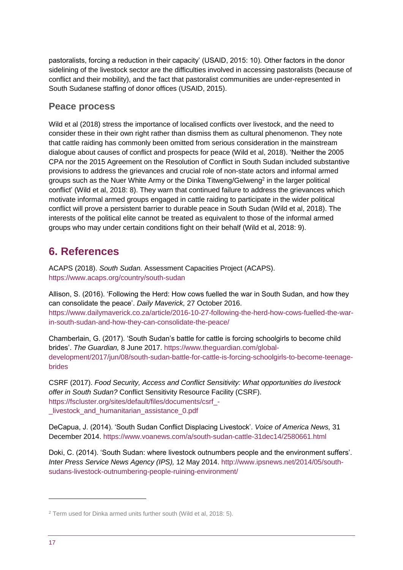pastoralists, forcing a reduction in their capacity' (USAID, 2015: 10). Other factors in the donor sidelining of the livestock sector are the difficulties involved in accessing pastoralists (because of conflict and their mobility), and the fact that pastoralist communities are under-represented in South Sudanese staffing of donor offices (USAID, 2015).

#### **Peace process**

Wild et al (2018) stress the importance of localised conflicts over livestock, and the need to consider these in their own right rather than dismiss them as cultural phenomenon. They note that cattle raiding has commonly been omitted from serious consideration in the mainstream dialogue about causes of conflict and prospects for peace (Wild et al, 2018). 'Neither the 2005 CPA nor the 2015 Agreement on the Resolution of Conflict in South Sudan included substantive provisions to address the grievances and crucial role of non-state actors and informal armed groups such as the Nuer White Army or the Dinka Titweng/Gelweng<sup>2</sup> in the larger political conflict' (Wild et al, 2018: 8). They warn that continued failure to address the grievances which motivate informal armed groups engaged in cattle raiding to participate in the wider political conflict will prove a persistent barrier to durable peace in South Sudan (Wild et al, 2018). The interests of the political elite cannot be treated as equivalent to those of the informal armed groups who may under certain conditions fight on their behalf (Wild et al, 2018: 9).

# <span id="page-16-0"></span>**6. References**

ACAPS (2018). *South Sudan.* Assessment Capacities Project (ACAPS). <https://www.acaps.org/country/south-sudan>

Allison, S. (2016). 'Following the Herd: How cows fuelled the war in South Sudan, and how they can consolidate the peace'. *Daily Maverick,* 27 October 2016. [https://www.dailymaverick.co.za/article/2016-10-27-following-the-herd-how-cows-fuelled-the-war](https://www.dailymaverick.co.za/article/2016-10-27-following-the-herd-how-cows-fuelled-the-war-in-south-sudan-and-how-they-can-consolidate-the-peace/)[in-south-sudan-and-how-they-can-consolidate-the-peace/](https://www.dailymaverick.co.za/article/2016-10-27-following-the-herd-how-cows-fuelled-the-war-in-south-sudan-and-how-they-can-consolidate-the-peace/)

Chamberlain, G. (2017). 'South Sudan's battle for cattle is forcing schoolgirls to become child brides'. *The Guardian,* 8 June 2017. [https://www.theguardian.com/global](https://www.theguardian.com/global-development/2017/jun/08/south-sudan-battle-for-cattle-is-forcing-schoolgirls-to-become-teenage-brides)[development/2017/jun/08/south-sudan-battle-for-cattle-is-forcing-schoolgirls-to-become-teenage](https://www.theguardian.com/global-development/2017/jun/08/south-sudan-battle-for-cattle-is-forcing-schoolgirls-to-become-teenage-brides)[brides](https://www.theguardian.com/global-development/2017/jun/08/south-sudan-battle-for-cattle-is-forcing-schoolgirls-to-become-teenage-brides) 

CSRF (2017). *Food Security, Access and Conflict Sensitivity: What opportunities do livestock offer in South Sudan?* Conflict Sensitivity Resource Facility (CSRF). [https://fscluster.org/sites/default/files/documents/csrf\\_](https://fscluster.org/sites/default/files/documents/csrf_-_livestock_and_humanitarian_assistance_0.pdf) livestock and humanitarian assistance 0.pdf

DeCapua, J. (2014). 'South Sudan Conflict Displacing Livestock'. *Voice of America News,* 31 December 2014.<https://www.voanews.com/a/south-sudan-cattle-31dec14/2580661.html>

Doki, C. (2014). 'South Sudan: where livestock outnumbers people and the environment suffers'. *Inter Press Service News Agency (IPS),* 12 May 2014. [http://www.ipsnews.net/2014/05/south](http://www.ipsnews.net/2014/05/south-sudans-livestock-outnumbering-people-ruining-environment/)[sudans-livestock-outnumbering-people-ruining-environment/](http://www.ipsnews.net/2014/05/south-sudans-livestock-outnumbering-people-ruining-environment/) 

-

<sup>2</sup> Term used for Dinka armed units further south (Wild et al, 2018: 5).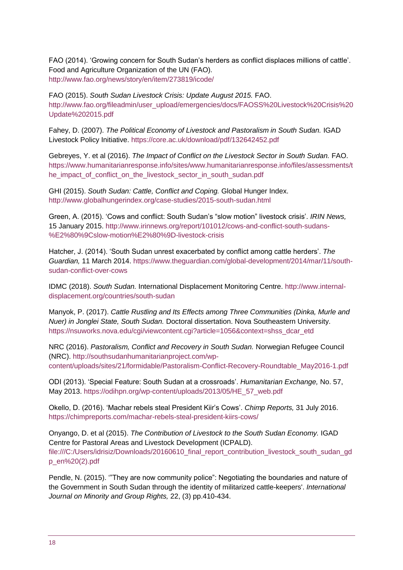FAO (2014). 'Growing concern for South Sudan's herders as conflict displaces millions of cattle'. Food and Agriculture Organization of the UN (FAO). <http://www.fao.org/news/story/en/item/273819/icode/>

FAO (2015). *South Sudan Livestock Crisis: Update August 2015.* FAO. [http://www.fao.org/fileadmin/user\\_upload/emergencies/docs/FAOSS%20Livestock%20Crisis%20](http://www.fao.org/fileadmin/user_upload/emergencies/docs/FAOSS%20Livestock%20Crisis%20Update%202015.pdf) [Update%202015.pdf](http://www.fao.org/fileadmin/user_upload/emergencies/docs/FAOSS%20Livestock%20Crisis%20Update%202015.pdf)

Fahey, D. (2007). *The Political Economy of Livestock and Pastoralism in South Sudan.* IGAD Livestock Policy Initiative.<https://core.ac.uk/download/pdf/132642452.pdf>

Gebreyes, Y. et al (2016). *The Impact of Conflict on the Livestock Sector in South Sudan.* FAO. [https://www.humanitarianresponse.info/sites/www.humanitarianresponse.info/files/assessments/t](https://www.humanitarianresponse.info/sites/www.humanitarianresponse.info/files/assessments/the_impact_of_conflict_on_the_livestock_sector_in_south_sudan.pdf) he impact of conflict on the livestock sector in south sudan.pdf

GHI (2015). *South Sudan: Cattle, Conflict and Coping.* Global Hunger Index. <http://www.globalhungerindex.org/case-studies/2015-south-sudan.html>

Green, A. (2015). 'Cows and conflict: South Sudan's "slow motion" livestock crisis'. *IRIN News,*  15 January 2015. [http://www.irinnews.org/report/101012/cows-and-conflict-south-sudans-](http://www.irinnews.org/report/101012/cows-and-conflict-south-sudans-%E2%80%9Cslow-motion%E2%80%9D-livestock-crisis) [%E2%80%9Cslow-motion%E2%80%9D-livestock-crisis](http://www.irinnews.org/report/101012/cows-and-conflict-south-sudans-%E2%80%9Cslow-motion%E2%80%9D-livestock-crisis)

Hatcher, J. (2014). 'South Sudan unrest exacerbated by conflict among cattle herders'. *The Guardian,* 11 March 2014. [https://www.theguardian.com/global-development/2014/mar/11/south](https://www.theguardian.com/global-development/2014/mar/11/south-sudan-conflict-over-cows)[sudan-conflict-over-cows](https://www.theguardian.com/global-development/2014/mar/11/south-sudan-conflict-over-cows)

IDMC (2018). *South Sudan.* International Displacement Monitoring Centre. [http://www.internal](http://www.internal-displacement.org/countries/south-sudan)[displacement.org/countries/south-sudan](http://www.internal-displacement.org/countries/south-sudan)

Manyok, P. (2017). *Cattle Rustling and Its Effects among Three Communities (Dinka, Murle and Nuer) in Jonglei State, South Sudan.* Doctoral dissertation. Nova Southeastern University. [https://nsuworks.nova.edu/cgi/viewcontent.cgi?article=1056&context=shss\\_dcar\\_etd](https://nsuworks.nova.edu/cgi/viewcontent.cgi?article=1056&context=shss_dcar_etd)

NRC (2016). *Pastoralism, Conflict and Recovery in South Sudan.* Norwegian Refugee Council (NRC). [http://southsudanhumanitarianproject.com/wp](http://southsudanhumanitarianproject.com/wp-content/uploads/sites/21/formidable/Pastoralism-Conflict-Recovery-Roundtable_May2016-1.pdf)[content/uploads/sites/21/formidable/Pastoralism-Conflict-Recovery-Roundtable\\_May2016-1.pdf](http://southsudanhumanitarianproject.com/wp-content/uploads/sites/21/formidable/Pastoralism-Conflict-Recovery-Roundtable_May2016-1.pdf)

ODI (2013). 'Special Feature: South Sudan at a crossroads'. *Humanitarian Exchange,* No. 57, May 2013. [https://odihpn.org/wp-content/uploads/2013/05/HE\\_57\\_web.pdf](https://odihpn.org/wp-content/uploads/2013/05/HE_57_web.pdf)

Okello, D. (2016). 'Machar rebels steal President Kiir's Cows'. *Chimp Reports,* 31 July 2016. <https://chimpreports.com/machar-rebels-steal-president-kiirs-cows/>

Onyango, D. et al (2015). *The Contribution of Livestock to the South Sudan Economy.* IGAD Centre for Pastoral Areas and Livestock Development (ICPALD). [file:///C:/Users/idrisiz/Downloads/20160610\\_final\\_report\\_contribution\\_livestock\\_south\\_sudan\\_gd](file:///C:/Users/idrisiz/Downloads/20160610_final_report_contribution_livestock_south_sudan_gdp_en%20(2).pdf) [p\\_en%20\(2\).pdf](file:///C:/Users/idrisiz/Downloads/20160610_final_report_contribution_livestock_south_sudan_gdp_en%20(2).pdf)

[Pendle, N. \(2015\).](http://eprints.lse.ac.uk/84468/1/Community%20Police_Final.pdf) '"They are now community police": Negotiating the boundaries and nature of the Government in South Sudan through the identity of militarized cattle-keepers'. *International Journal on Minority and Group Rights,* 22, (3) pp.410-434.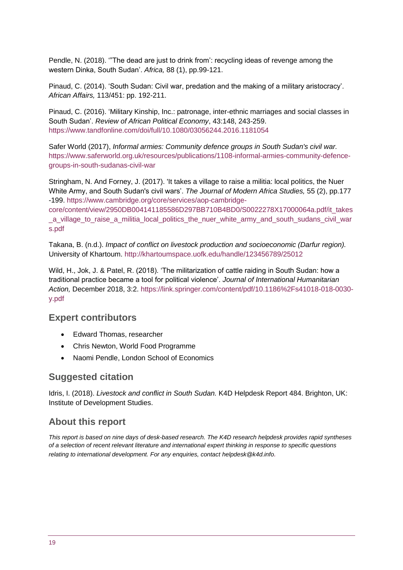[Pendle, N. \(2018\).](http://eprints.lse.ac.uk/85696/1/Pendle_Dead%20just%20to%20drink%20from_2017.pdf) '"The dead are just to drink from': recycling ideas of revenge among the western Dinka, South Sudan'. *Africa,* 88 (1), pp.99-121.

Pinaud, C. (2014). 'South Sudan: Civil war, predation and the making of a military aristocracy'. *African Affairs,* 113/451: pp. 192-211.

Pinaud, C. (2016). 'Military Kinship, Inc.: patronage, inter-ethnic marriages and social classes in South Sudan'. *Review of African Political Economy*, 43:148, 243-259. <https://www.tandfonline.com/doi/full/10.1080/03056244.2016.1181054>

[Safer World \(2017\),](https://www.saferworld.org.uk/downloads/informal-armies-final.pdf) *Informal armies: Community defence groups in South Sudan's civil war.* [https://www.saferworld.org.uk/resources/publications/1108-informal-armies-community-defence](https://www.saferworld.org.uk/resources/publications/1108-informal-armies-community-defence-groups-in-south-sudanas-civil-war)[groups-in-south-sudanas-civil-war](https://www.saferworld.org.uk/resources/publications/1108-informal-armies-community-defence-groups-in-south-sudanas-civil-war)

[Stringham, N. And Forney, J. \(2017\).](https://www.cambridge.org/core/journals/journal-of-modern-african-studies/article/it-takes-a-village-to-raise-a-militia-local-politics-the-nuer-white-army-and-south-sudans-civil-wars/2950DB004141185586D297BB710B4BD0) 'It takes a village to raise a militia: local politics, the Nuer White Army, and South Sudan's civil wars'. *The Journal of Modern Africa Studies,* 55 (2), pp.177 -199. [https://www.cambridge.org/core/services/aop-cambridge-](https://www.cambridge.org/core/services/aop-cambridge-core/content/view/2950DB004141185586D297BB710B4BD0/S0022278X17000064a.pdf/it_takes_a_village_to_raise_a_militia_local_politics_the_nuer_white_army_and_south_sudans_civil_wars.pdf)

[core/content/view/2950DB004141185586D297BB710B4BD0/S0022278X17000064a.pdf/it\\_takes](https://www.cambridge.org/core/services/aop-cambridge-core/content/view/2950DB004141185586D297BB710B4BD0/S0022278X17000064a.pdf/it_takes_a_village_to_raise_a_militia_local_politics_the_nuer_white_army_and_south_sudans_civil_wars.pdf) [\\_a\\_village\\_to\\_raise\\_a\\_militia\\_local\\_politics\\_the\\_nuer\\_white\\_army\\_and\\_south\\_sudans\\_civil\\_war](https://www.cambridge.org/core/services/aop-cambridge-core/content/view/2950DB004141185586D297BB710B4BD0/S0022278X17000064a.pdf/it_takes_a_village_to_raise_a_militia_local_politics_the_nuer_white_army_and_south_sudans_civil_wars.pdf) [s.pdf](https://www.cambridge.org/core/services/aop-cambridge-core/content/view/2950DB004141185586D297BB710B4BD0/S0022278X17000064a.pdf/it_takes_a_village_to_raise_a_militia_local_politics_the_nuer_white_army_and_south_sudans_civil_wars.pdf)

Takana, B. (n.d.). *Impact of conflict on livestock production and socioeconomic (Darfur region).*  University of Khartoum.<http://khartoumspace.uofk.edu/handle/123456789/25012>

Wild, H., Jok, J. & Patel, R. (2018). 'The militarization of cattle raiding in South Sudan: how a traditional practice became a tool for political violence'. *Journal of International Humanitarian Action,* December 2018, 3:2. [https://link.springer.com/content/pdf/10.1186%2Fs41018-018-0030](https://link.springer.com/content/pdf/10.1186%2Fs41018-018-0030-y.pdf) [y.pdf](https://link.springer.com/content/pdf/10.1186%2Fs41018-018-0030-y.pdf)

#### **Expert contributors**

- Edward Thomas, researcher
- Chris Newton, World Food Programme
- Naomi Pendle, London School of Economics

#### **Suggested citation**

Idris, I. (2018). *Livestock and conflict in South Sudan.* K4D Helpdesk Report 484. Brighton, UK: Institute of Development Studies.

#### **About this report**

*This report is based on nine days of desk-based research. The K4D research helpdesk provides rapid syntheses of a selection of recent relevant literature and international expert thinking in response to specific questions relating to international development. For any enquiries, contact helpdesk@k4d.info.*